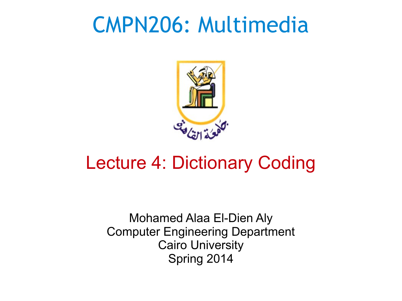#### CMPN206: Multimedia



#### Lecture 4: Dictionary Coding

Mohamed Alaa El-Dien Aly Computer Engineering Department Cairo University Spring 2014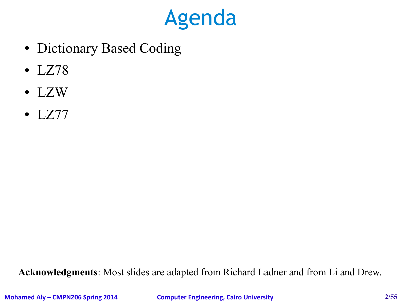#### Agenda

- Dictionary Based Coding
- LZ78
- LZW
- $\bullet$  LZ77

**Acknowledgments**: Most slides are adapted from Richard Ladner and from Li and Drew.

**Mohamed Aly – CMPN206 Spring 2014 Computer Engineering, Cairo University 2/55**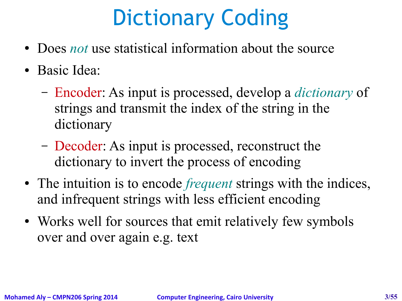# Dictionary Coding

- Does *not* use statistical information about the source
- Basic Idea:
	- Encoder: As input is processed, develop a *dictionary* of strings and transmit the index of the string in the dictionary
	- Decoder: As input is processed, reconstruct the dictionary to invert the process of encoding
- The intuition is to encode *frequent* strings with the indices, and infrequent strings with less efficient encoding
- Works well for sources that emit relatively few symbols over and over again e.g. text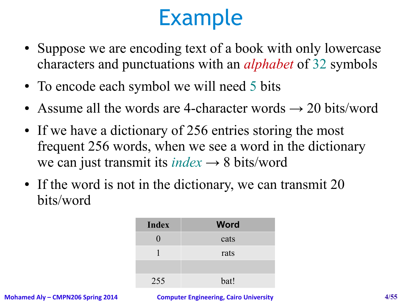- Suppose we are encoding text of a book with only lowercase characters and punctuations with an *alphabet* of 32 symbols
- To encode each symbol we will need 5 bits
- Assume all the words are 4-character words  $\rightarrow$  20 bits/word
- If we have a dictionary of 256 entries storing the most frequent 256 words, when we see a word in the dictionary we can just transmit its *index* → 8 bits/word
- If the word is not in the dictionary, we can transmit 20 bits/word

| <b>Index</b> | <b>Word</b> |
|--------------|-------------|
|              | cats        |
|              | rats        |
|              |             |
| 255          | bat!        |

**Mohamed Aly – CMPN206 Spring 2014 Computer Engineering, Cairo University 4/55**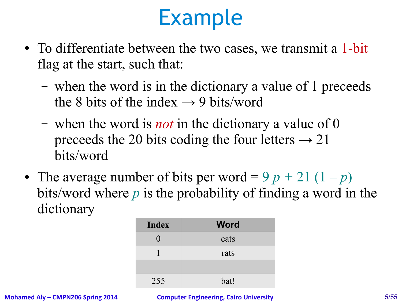- To differentiate between the two cases, we transmit a 1-bit flag at the start, such that:
	- when the word is in the dictionary a value of 1 preceeds the 8 bits of the index  $\rightarrow$  9 bits/word
	- when the word is *not* in the dictionary a value of 0 preceeds the 20 bits coding the four letters  $\rightarrow$  21 bits/word
- The average number of bits per word =  $9 p + 21 (1 p)$ bits/word where *p* is the probability of finding a word in the dictionary

| <b>Index</b> | <b>Word</b> |
|--------------|-------------|
|              | cats        |
|              | rats        |
|              |             |
| 255          | bat!        |

**Mohamed Aly – CMPN206 Spring 2014 Computer Engineering, Cairo University 5/55**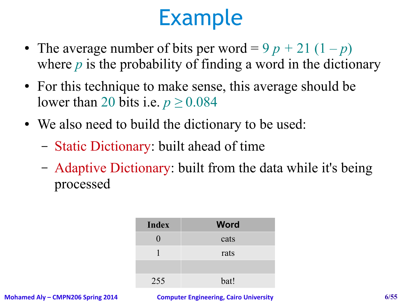- The average number of bits per word =  $9 p + 21 (1 p)$ where *p* is the probability of finding a word in the dictionary
- For this technique to make sense, this average should be lower than 20 bits i.e. *p ≥* 0.084
- We also need to build the dictionary to be used:
	- Static Dictionary: built ahead of time
	- Adaptive Dictionary: built from the data while it's being processed

| <b>Index</b> | <b>Word</b> |
|--------------|-------------|
|              | cats        |
|              | rats        |
|              |             |
| 255          | bat!        |

**Mohamed Aly – CMPN206 Spring 2014 Computer Engineering, Cairo University 6/55**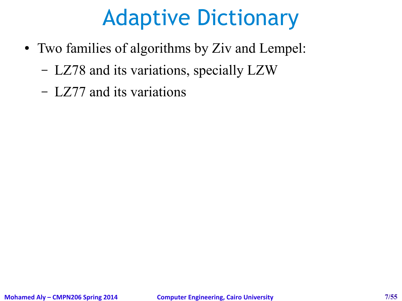# Adaptive Dictionary

- Two families of algorithms by Ziv and Lempel:
	- LZ78 and its variations, specially LZW
	- LZ77 and its variations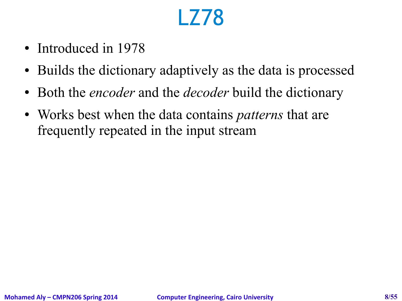# LZ78

- Introduced in 1978
- Builds the dictionary adaptively as the data is processed
- Both the *encoder* and the *decoder* build the dictionary
- Works best when the data contains *patterns* that are frequently repeated in the input stream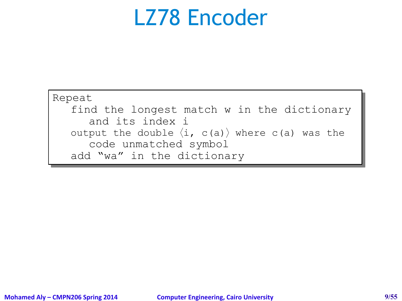#### LZ78 Encoder

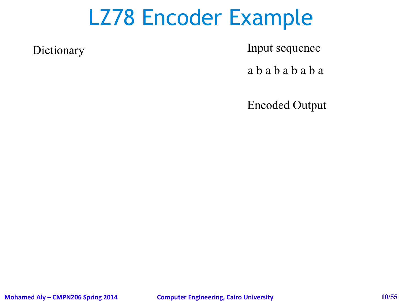Dictionary Input sequence

a b a b a b a b a

Encoded Output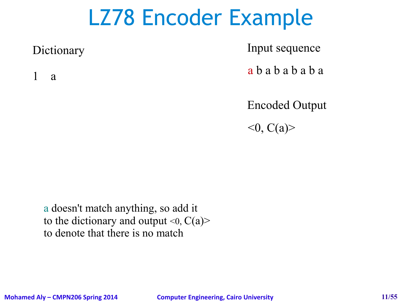1 a

Dictionary Input sequence

a b a b a b a b a

Encoded Output  $<$ 0, C(a)>

a doesn't match anything, so add it to the dictionary and output  $\langle 0, C(a) \rangle$ to denote that there is no match

**Mohamed Aly – CMPN206 Spring 2014 Computer Engineering, Cairo University 11/55**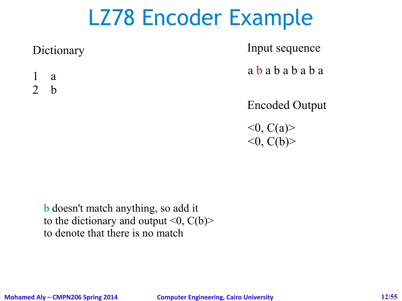Dictionary Input sequence

a b a b a b a b a

1 a 2 b

Encoded Output

 $<$ 0, C(a)>  $\langle 0, C(b) \rangle$ 

b doesn't match anything, so add it to the dictionary and output  $\langle 0, C(b) \rangle$ to denote that there is no match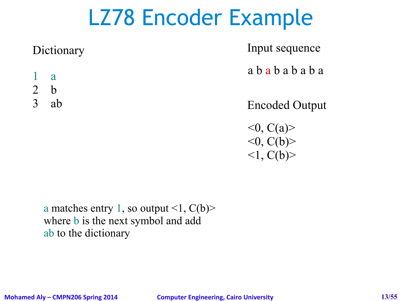Dictionary Input sequence

a b a b a b a b a

- 1 a
- 2 b
- 

3 ab Encoded Output

 $<$ 0, C(a)>  $<$ 0, C(b) $>$  $\langle 1, C(b) \rangle$ 

a matches entry 1, so output  $\leq 1$ ,  $C(b)$ where **b** is the next symbol and add ab to the dictionary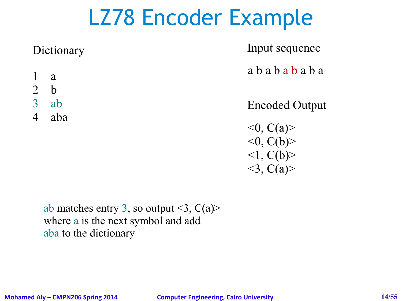Dictionary Input sequence

a b a b a b a b a

- 1 a
- 2 b
- 3 ab
- 4 aba

Encoded Output

 $<$ 0, C(a)>  $\langle 0, C(b) \rangle$  $\langle 1, C(b) \rangle$  $<$ 3, C(a)>

ab matches entry 3, so output  $\leq 3$ , C(a) where a is the next symbol and add aba to the dictionary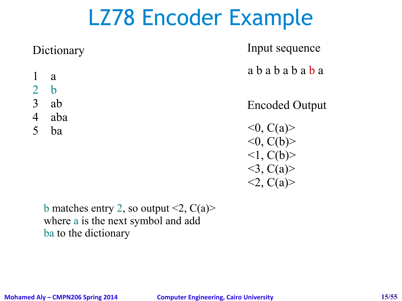Dictionary Input sequence

a b a b a b a b a

- 1 a
- 2 b
- 3 ab
- 4 aba
- 5 ba

Encoded Output

 $<$ 0, C(a)>  $\langle 0, C(b) \rangle$  $\langle 1, C(b) \rangle$  $<$ 3, C(a)>  $2, C(a)$ 

b matches entry 2, so output  $\leq 2$ ,  $C(a)$ where a is the next symbol and add ba to the dictionary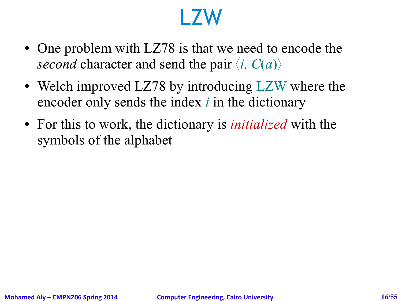#### LZW

- One problem with LZ78 is that we need to encode the *second* character and send the pair  $\langle i, C(a) \rangle$
- Welch improved LZ78 by introducing LZW where the encoder only sends the index *i* in the dictionary
- For this to work, the dictionary is *initialized* with the symbols of the alphabet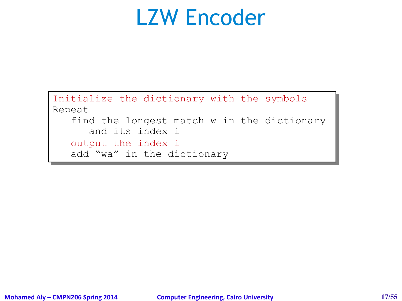#### LZW Encoder

```
Initialize the dictionary with the symbols
Initialize the dictionary with the symbols
Repeat
Repeat
     find the longest match w in the dictionary 
find the longest match w in the dictionary 
           and its index i
and its index i
     output the index i
     add "wa" in the dictionary 
add "wa" in the dictionary
```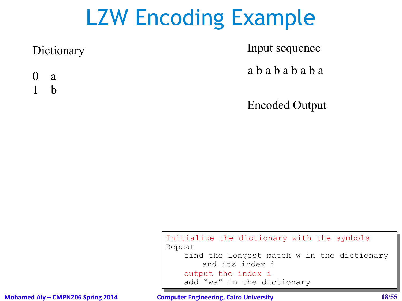Dictionary Input sequence

a b a b a b a b a

0 a 1 b

Encoded Output

Initialize the dictionary with the symbols Initialize the dictionary with the symbols Repeat Repeat find the longest match w in the dictionary find the longest match w in the dictionary and its index i and its index i output the index i add "wa" in the dictionary add "wa" in the dictionary

**Mohamed Aly – CMPN206 Spring 2014 Computer Engineering, Cairo University 18/55**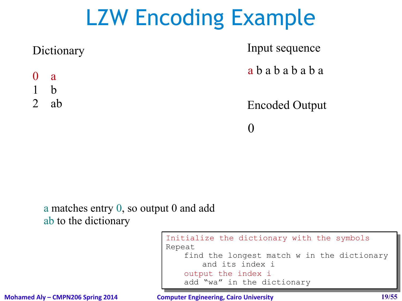| Dictionary                          | Input sequence        |
|-------------------------------------|-----------------------|
| $\begin{matrix} 0 & a \end{matrix}$ | ababababa             |
| $\mathsf{h}$                        |                       |
| ab                                  | <b>Encoded Output</b> |
|                                     |                       |

#### a matches entry 0, so output 0 and add ab to the dictionary

```
Initialize the dictionary with the symbols
Initialize the dictionary with the symbols
Repeat
Repeat
       find the longest match w in the dictionary 
find the longest match w in the dictionary 
              and its index i
and its index i
       output the index i
       add "wa" in the dictionary 
add "wa" in the dictionary
```
**Mohamed Aly – CMPN206 Spring 2014 Computer Engineering, Cairo University 19/55**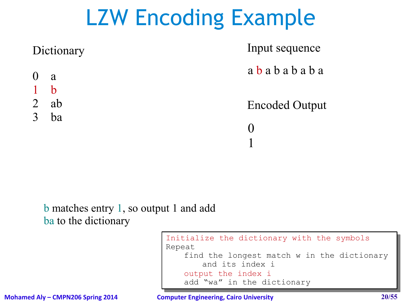|                | Dictionary   | Input sequence        |
|----------------|--------------|-----------------------|
|                | $0 \alpha$   | ababababa             |
|                | $\mathbf{b}$ |                       |
| $\overline{2}$ | ab           | <b>Encoded Output</b> |
| 3              | ba           |                       |
|                |              |                       |
|                |              |                       |

#### b matches entry 1, so output 1 and add ba to the dictionary

#### Initialize the dictionary with the symbols Initialize the dictionary with the symbols Repeat Repeat find the longest match w in the dictionary find the longest match w in the dictionary and its index i and its index i output the index i add "wa" in the dictionary add "wa" in the dictionary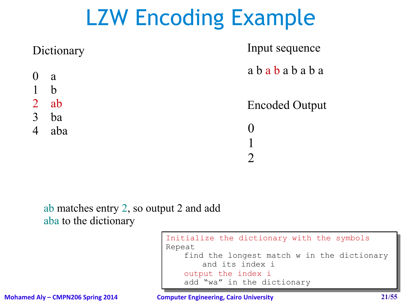|             | Input sequence        |
|-------------|-----------------------|
| a           | ababababa             |
| $\mathbf b$ |                       |
| ab          | <b>Encoded Output</b> |
| ba          |                       |
| aba         |                       |
|             |                       |
|             |                       |
|             | Dictionary            |

#### ab matches entry 2, so output 2 and add aba to the dictionary

Initialize the dictionary with the symbols Initialize the dictionary with the symbols Repeat Repeat find the longest match w in the dictionary find the longest match w in the dictionary and its index i and its index i output the index i add "wa" in the dictionary add "wa" in the dictionary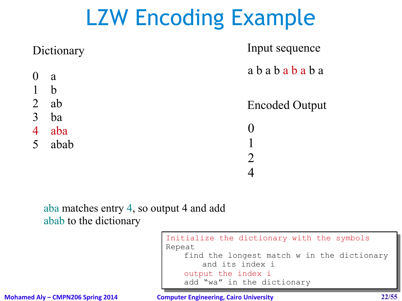|                | Dictionary  | Input sequence        |
|----------------|-------------|-----------------------|
| $\overline{0}$ | a           | ababababa             |
|                | $\mathbf b$ |                       |
| $\overline{2}$ | ab          | <b>Encoded Output</b> |
| 3              | ba          |                       |
| $\overline{4}$ | aba         |                       |
| 5              | abab        |                       |
|                |             |                       |
|                |             |                       |

aba matches entry 4, so output 4 and add abab to the dictionary

> Initialize the dictionary with the symbols Initialize the dictionary with the symbols Repeat Repeat find the longest match w in the dictionary find the longest match w in the dictionary and its index i and its index i output the index i add "wa" in the dictionary add "wa" in the dictionary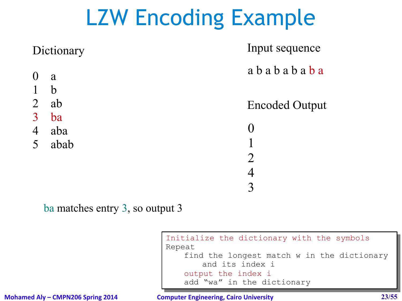|                                  | Dictionary       | Input sequence              |
|----------------------------------|------------------|-----------------------------|
| $\overline{0}$                   | a<br>$\mathbf b$ | ababababa                   |
| $\overline{2}$                   | ab               | <b>Encoded Output</b>       |
| $\overline{3}$<br>$\overline{4}$ | ba<br>aba        | $\Omega$                    |
| $\overline{\mathcal{L}}$         | abab             | $\mathcal{D}_{\mathcal{A}}$ |
|                                  |                  | 4                           |
|                                  |                  | $\mathcal{R}$               |

ba matches entry 3, so output 3

Initialize the dictionary with the symbols Initialize the dictionary with the symbols Repeat Repeat find the longest match w in the dictionary find the longest match w in the dictionary and its index i and its index i output the index i add "wa" in the dictionary add "wa" in the dictionary

**Mohamed Aly – CMPN206 Spring 2014 Computer Engineering, Cairo University 23/55**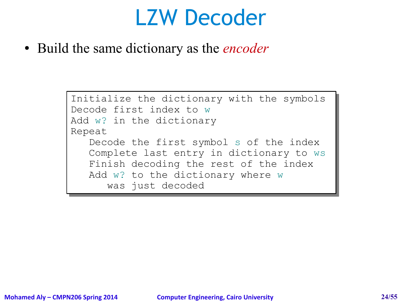#### LZW Decoder

• Build the same dictionary as the *encoder* 

```
Initialize the dictionary with the symbols
Initialize the dictionary with the symbols
Decode first index to w
Decode first index to w
Add w? in the dictionary
Add w? in the dictionary
Repeat
Repeat
      Decode the first symbol s of the index 
Decode the first symbol s of the index 
      Complete last entry in dictionary to ws
Complete last entry in dictionary to ws
      Finish decoding the rest of the index
Finish decoding the rest of the index
      Add w? to the dictionary where w
Add w? to the dictionary where w
            was just decoded
was just decoded
```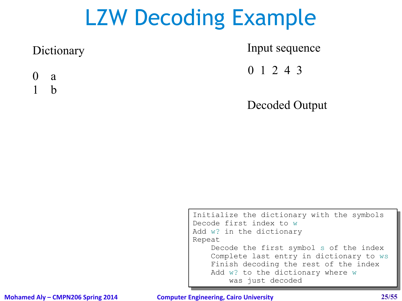Dictionary Input sequence

0 1 2 4 3

0 a 1 b

Decoded Output

Initialize the dictionary with the symbols Initialize the dictionary with the symbols Decode first index to w Decode first index to w Add w? in the dictionary Add w? in the dictionary Repeat Repeat Decode the first symbol s of the index Decode the first symbol s of the index Complete last entry in dictionary to ws Complete last entry in dictionary to ws Finish decoding the rest of the index Finish decoding the rest of the index Add w? to the dictionary where w was just decoded was just decoded

#### **Mohamed Aly – CMPN206 Spring 2014 Computer Engineering, Cairo University 25/55**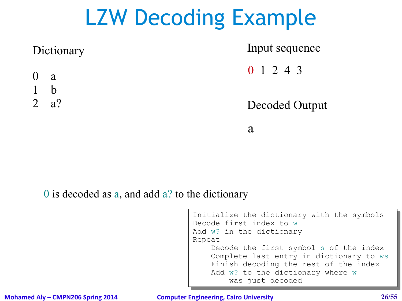

a

#### 0 is decoded as a, and add a? to the dictionary

| Initialize the dictionary with the symbols |  |  |  |
|--------------------------------------------|--|--|--|
| Decode first index to w                    |  |  |  |
| Add w? in the dictionary                   |  |  |  |
| Repeat                                     |  |  |  |
| Decode the first symbol s of the index     |  |  |  |
| Complete last entry in dictionary to ws    |  |  |  |
| Finish decoding the rest of the index      |  |  |  |
| Add w? to the dictionary where w           |  |  |  |
| was just decoded                           |  |  |  |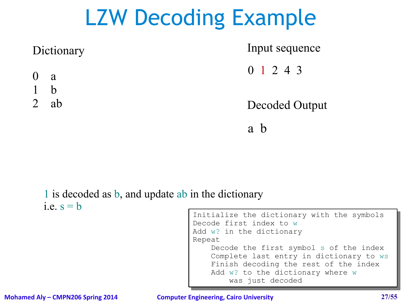|                | Dictionary  | Input sequence      |
|----------------|-------------|---------------------|
| $0 \quad a$    |             | $0 \t1 \t2 \t4 \t3$ |
|                | $\mathbf b$ |                     |
| $\overline{2}$ | ab          | Decoded Output      |
|                |             | a h                 |

#### 1 is decoded as b, and update ab in the dictionary i.e.  $s = b$

| Initialize the dictionary with the symbols |  |  |  |
|--------------------------------------------|--|--|--|
| Decode first index to w                    |  |  |  |
| Add w? in the dictionary                   |  |  |  |
| Repeat                                     |  |  |  |
| Decode the first symbol s of the index     |  |  |  |
| Complete last entry in dictionary to ws    |  |  |  |
| Finish decoding the rest of the index      |  |  |  |
| Add w? to the dictionary where w           |  |  |  |
| was just decoded                           |  |  |  |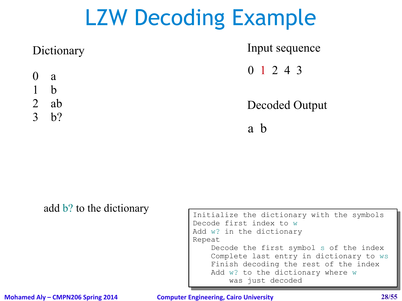| Dictionary  | Input sequence |
|-------------|----------------|
| $0 \quad a$ | 0 1 2 4 3      |
| $1-b$       |                |
| $2$ ab      | Decoded Output |
| 3 b?        |                |
|             | a              |

add b? to the dictionary

```
Initialize the dictionary with the symbols
Initialize the dictionary with the symbols
Decode first index to w
Decode first index to w
Add w? in the dictionary
Add w? in the dictionary
Repeat
Repeat
       Decode the first symbol s of the index 
Decode the first symbol s of the index 
       Complete last entry in dictionary to ws
Complete last entry in dictionary to ws
       Finish decoding the rest of the index
Finish decoding the rest of the index
       Add w? to the dictionary where w
               was just decoded
was just decoded
```
**Mohamed Aly – CMPN206 Spring 2014 Computer Engineering, Cairo University 28/55**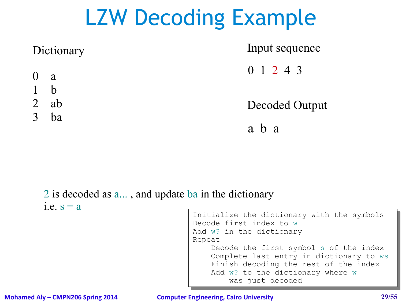| Dictionary     |    | Input sequence |
|----------------|----|----------------|
| $0 \alpha$     |    | 0 1 2 4 3      |
| $1-b$          |    |                |
| $\overline{2}$ | ab | Decoded Output |
| $\overline{3}$ | ba |                |
|                |    | a b a          |

#### 2 is decoded as a... , and update ba in the dictionary i.e.  $s = a$

| Initialize the dictionary with the symbols |  |  |  |
|--------------------------------------------|--|--|--|
| Decode first index to w                    |  |  |  |
| Add w? in the dictionary                   |  |  |  |
| Repeat                                     |  |  |  |
| Decode the first symbol s of the index     |  |  |  |
| Complete last entry in dictionary to ws    |  |  |  |
| Finish decoding the rest of the index      |  |  |  |
| Add w? to the dictionary where w           |  |  |  |
| was just decoded                           |  |  |  |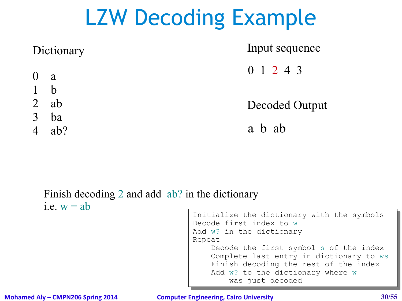| Dictionary  | Input sequence |
|-------------|----------------|
| $0 \quad a$ | 0 1 2 4 3      |
| $\mathbf b$ |                |
| ab          | Decoded Output |
| ba          |                |
| ab?         | a b ab         |
|             |                |

#### Finish decoding 2 and add ab? in the dictionary i.e.  $w = ab$

| Initialize the dictionary with the symbols |  |  |  |
|--------------------------------------------|--|--|--|
| Decode first index to w                    |  |  |  |
| Add w? in the dictionary                   |  |  |  |
| Repeat                                     |  |  |  |
| Decode the first symbol s of the index     |  |  |  |
| Complete last entry in dictionary to ws    |  |  |  |
| Finish decoding the rest of the index      |  |  |  |
| Add w? to the dictionary where w           |  |  |  |
| was just decoded                           |  |  |  |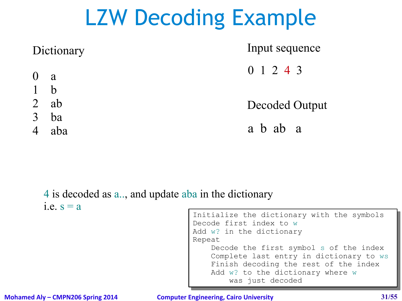| Decoded Output |
|----------------|
|                |
|                |
|                |

#### 4 is decoded as a.., and update aba in the dictionary i.e.  $s = a$

| Initialize the dictionary with the symbols |  |  |  |
|--------------------------------------------|--|--|--|
| Decode first index to w                    |  |  |  |
| Add w? in the dictionary                   |  |  |  |
| Repeat                                     |  |  |  |
| Decode the first symbol s of the index     |  |  |  |
| Complete last entry in dictionary to ws    |  |  |  |
| Finish decoding the rest of the index      |  |  |  |
| Add w? to the dictionary where w           |  |  |  |
| was just decoded                           |  |  |  |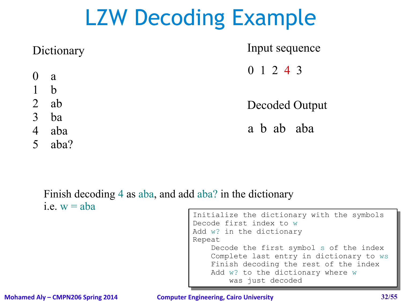| Dictionary     |             | Input sequence |
|----------------|-------------|----------------|
|                | $0 \quad a$ | 0 1 2 4 3      |
|                | 1 b         |                |
|                | $2$ ab      | Decoded Output |
| $\overline{3}$ | ba          |                |
| $\overline{4}$ | aba         | a b ab aba     |
| 5 <sup>5</sup> | aba?        |                |

#### Finish decoding 4 as aba, and add aba? in the dictionary i.e.  $w = aba$

| Initialize the dictionary with the symbols |  |  |  |
|--------------------------------------------|--|--|--|
| Decode first index to w                    |  |  |  |
| Add w? in the dictionary                   |  |  |  |
| Repeat                                     |  |  |  |
| Decode the first symbol s of the index     |  |  |  |
| Complete last entry in dictionary to ws    |  |  |  |
| Finish decoding the rest of the index      |  |  |  |
| Add w? to the dictionary where w           |  |  |  |
| was just decoded                           |  |  |  |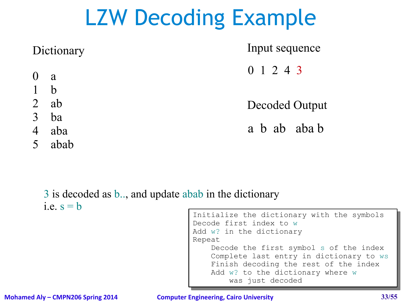| Dictionary     |        | Input sequence |
|----------------|--------|----------------|
| $0 \quad a$    |        | 0 1 2 4 3      |
| $1-b$          |        |                |
|                | $2$ ab | Decoded Output |
| $\overline{3}$ | ba     |                |
| $\overline{4}$ | aba    | a b ab aba b   |
|                | 5 abab |                |

3 is decoded as b.., and update abab in the dictionary i.e.  $s = b$ 

```
Initialize the dictionary with the symbols
Initialize the dictionary with the symbols
Decode first index to w
Decode first index to w
Add w? in the dictionary
Add w? in the dictionary
Repeat
Repeat
       Decode the first symbol s of the index 
Decode the first symbol s of the index 
       Complete last entry in dictionary to ws
Complete last entry in dictionary to ws
       Finish decoding the rest of the index
Finish decoding the rest of the index
       Add w? to the dictionary where w
               was just decoded
was just decoded
```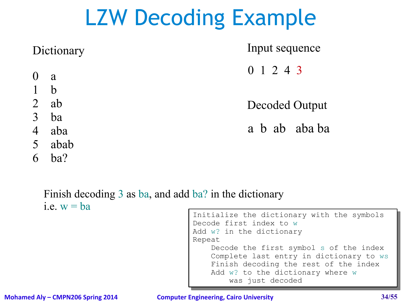| Dictionary                                  | Input sequence |
|---------------------------------------------|----------------|
| 0 a                                         | 0 1 2 4 3      |
| $1$ b                                       |                |
| 2 $ab$                                      | Decoded Output |
| $\overline{3}$<br>ba                        |                |
| $\overline{4}$<br>aba                       | a b ab aba ba  |
| $\mathcal{L} = \mathbf{1} \cdot \mathbf{1}$ |                |

- 5 abab
- 6 ba?

Finish decoding 3 as ba, and add ba? in the dictionary i.e.  $w = ba$ 

```
Initialize the dictionary with the symbols
Initialize the dictionary with the symbols
Decode first index to w
Decode first index to w
Add w? in the dictionary
Add w? in the dictionary
Repeat
Repeat
       Decode the first symbol s of the index 
Decode the first symbol s of the index 
       Complete last entry in dictionary to ws
Complete last entry in dictionary to ws
       Finish decoding the rest of the index
Finish decoding the rest of the index
       Add w? to the dictionary where w
               was just decoded
was just decoded
```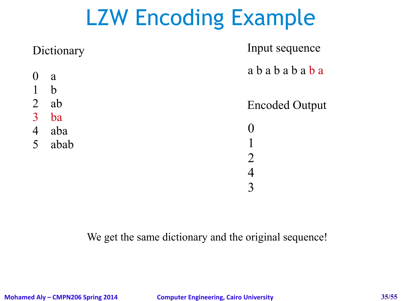| Dictionary     |             | Input sequence        |
|----------------|-------------|-----------------------|
| $\overline{0}$ | a           | ababababa             |
|                | $\mathbf b$ |                       |
| $\overline{2}$ | ab          | <b>Encoded Output</b> |
| $\overline{3}$ | ba          |                       |
| $\overline{4}$ | aba         |                       |
| 5              | abab        |                       |
|                |             |                       |
|                |             |                       |
|                |             |                       |

We get the same dictionary and the original sequence!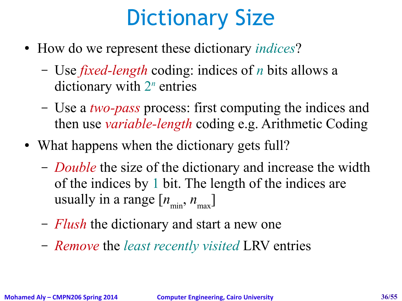# Dictionary Size

- How do we represent these dictionary *indices*?
	- Use *fixed-length* coding: indices of *n* bits allows a dictionary with 2<sup>n</sup> entries
	- Use a *two-pass* process: first computing the indices and then use *variable-length* coding e.g. Arithmetic Coding
- What happens when the dictionary gets full?
	- *Double* the size of the dictionary and increase the width of the indices by 1 bit. The length of the indices are usually in a range  $[n_{\min}, n_{\max}]$
	- *Flush* the dictionary and start a new one
	- *Remove* the *least recently visited* LRV entries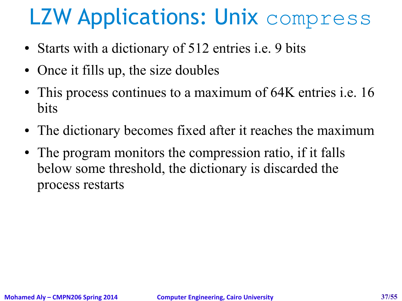# LZW Applications: Unix compress

- Starts with a dictionary of 512 entries i.e. 9 bits
- Once it fills up, the size doubles
- This process continues to a maximum of 64K entries *i.e.* 16 bits
- The dictionary becomes fixed after it reaches the maximum
- The program monitors the compression ratio, if it falls below some threshold, the dictionary is discarded the process restarts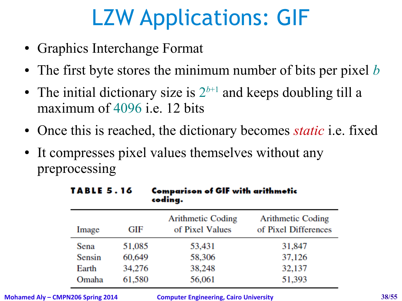# LZW Applications: GIF

- Graphics Interchange Format
- The first byte stores the minimum number of bits per pixel *b*
- The initial dictionary size is  $2^{b+1}$  and keeps doubling till a maximum of 4096 i.e. 12 bits
- Once this is reached, the dictionary becomes *static* i.e. fixed
- It compresses pixel values themselves without any preprocessing

| <b>TABLE 5.16</b> |        | <b>Comparison of GIF with arithmetic</b><br>coding. |                                                  |  |
|-------------------|--------|-----------------------------------------------------|--------------------------------------------------|--|
| Image             | GIF    | <b>Arithmetic Coding</b><br>of Pixel Values         | <b>Arithmetic Coding</b><br>of Pixel Differences |  |
| Sena              | 51,085 | 53,431                                              | 31,847                                           |  |
| Sensin            | 60,649 | 58,306                                              | 37,126                                           |  |
| Earth             | 34,276 | 38,248                                              | 32,137                                           |  |
| Omaha             | 61,580 | 56,061                                              | 51,393                                           |  |

**Mohamed Aly – CMPN206 Spring 2014 Computer Engineering, Cairo University 38/55**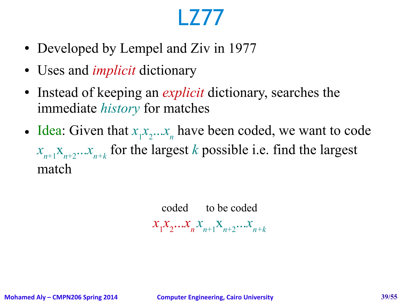# LZ77

- Developed by Lempel and Ziv in 1977
- Uses and *implicit* dictionary
- Instead of keeping an *explicit* dictionary, searches the immediate *history* for matches
- Idea: Given that  $x_1x_2...x_n$  have been coded, we want to code  $x_{n+1}$ <sup> $x_{n+2}$ </sup> $\ldots$  $x_{n+k}$  for the largest *k* possible i.e. find the largest match

coded to be coded  $x_1 x_2 ... x_n x_{n+1} x_{n+2} ... x_{n+k}$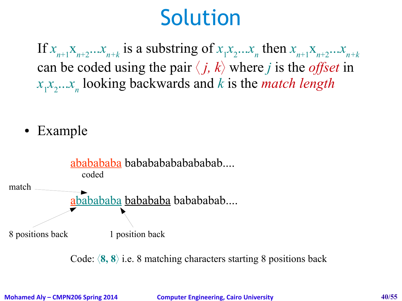## Solution

If  $x_{n+1}x_{n+2}...x_{n+k}$  is a substring of  $x_1x_2...x_n$  then  $x_{n+1}x_{n+2}...x_{n+k}$ can be coded using the pair  $\langle j, k \rangle$  where *j* is the *offset* in *x*<sub>1</sub>*x*<sub>2</sub>...*x*<sub>n</sub></sub> looking backwards and *k* is the *match length* 

• Example



Code:  $\langle 8, 8 \rangle$  i.e. 8 matching characters starting 8 positions back

**Mohamed Aly – CMPN206 Spring 2014 Computer Engineering, Cairo University 40/55**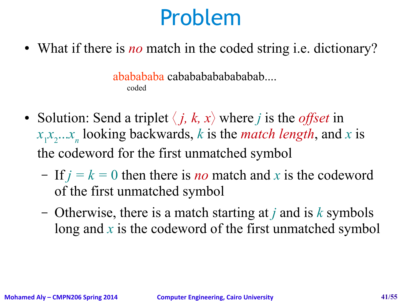## Problem

• What if there is *no* match in the coded string i.e. dictionary?

ababababa cabababababababab.... coded

- Solution: Send a triplet  $\langle j, k, x \rangle$  where *j* is the *offset* in  $x_1 x_2 ... x_n$  looking backwards, *k* is the *match length*, and *x* is the codeword for the first unmatched symbol
	- If  $j = k = 0$  then there is *no* match and x is the codeword of the first unmatched symbol
	- Otherwise, there is a match starting at *j* and is *k* symbols long and x is the codeword of the first unmatched symbol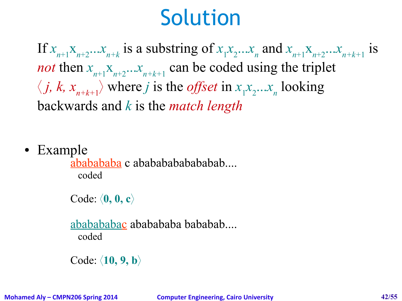## Solution

If  $x_{n+1}x_{n+2}...x_{n+k}$  is a substring of  $x_1x_2...x_n$  and  $x_{n+1}x_{n+2}...x_{n+k+1}$  is *not* then  $x_{n+1}$ <sup> $x_{n+2}$ </sup> $\ldots$  $x_{n+k+1}$  can be coded using the triplet  $\langle j, k, x_{n+k+1} \rangle$  where *j* is the *offset* in  $x_1 x_2 ... x_n$  looking backwards and *k* is the *match length*

• Example

ababababa c ababababababab.... coded

Code: **0, 0, c**

ababababac ababababa bababab.... coded

Code: **10, 9, b**

**Mohamed Aly – CMPN206 Spring 2014 Computer Engineering, Cairo University 42/55**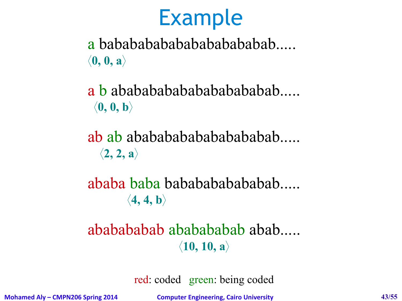a bababababababababababab.....  $\langle 0, 0, a \rangle$ 

a b ababababababababababab.....  $\langle 0, 0, b \rangle$ 

ab ab abababababababababab.....  $\langle 2, 2, a \rangle$ 

ababa baba babababababab.....  $\langle 4, 4, b \rangle$ 

#### ababababab ababababab abab.....  $\langle 10, 10, a \rangle$

red: coded green: being coded

**Mohamed Aly – CMPN206 Spring 2014 Computer Engineering, Cairo University 43/55**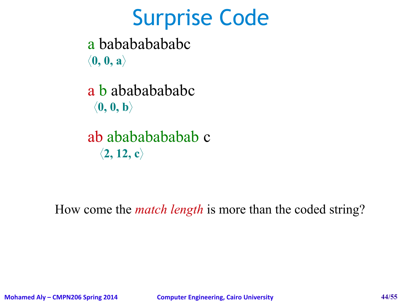#### Surprise Code

a babababababc  $\langle 0, 0, a \rangle$ 

a b abababababc  $\langle 0, 0, b \rangle$ 

ab abababababab c  $\langle 2, 12, c \rangle$ 

How come the *match length* is more than the coded string?

**Mohamed Aly – CMPN206 Spring 2014 Computer Engineering, Cairo University 44/55**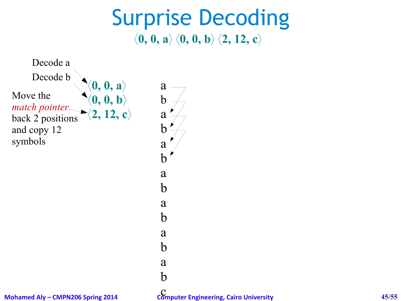#### Surprise Decoding  $\langle 0, 0, a \rangle$   $\langle 0, 0, b \rangle$   $\langle 2, 12, c \rangle$

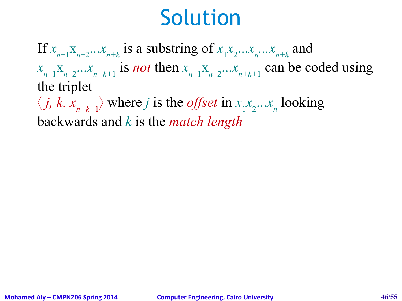## Solution

If  $x_{n+1}x_{n+2}...x_{n+k}$  is a substring of  $x_1x_2...x_n...x_{n+k}$  and  $x_{n+1}$ <sup> $x_{n+2}$ </sup> *n*  $\ldots$  *n*<sub>*n*+k+1</sub> is *not* then  $x_{n+1}$ <sup> $x_{n+2}$ </sup> *n*  $\ldots$  *x*<sub>*n*+k+1</sub> can be coded using the triplet  $\langle j, k, x_{n+k+1} \rangle$  where *j* is the *offset* in  $x_1 x_2 ... x_n$  looking

backwards and *k* is the *match length*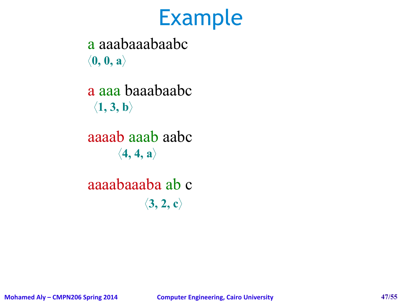a aaabaaabaabc  $\langle 0, 0, a \rangle$ 

a aaa baaabaabc  $\langle 1, 3, b \rangle$ 

aaaab aaab aabc  $\langle 4, 4, a \rangle$ 

aaaabaaaba ab c  $\langle 3, 2, c \rangle$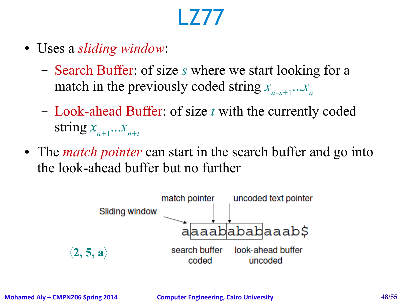# LZ77

- Uses a *sliding window*:
	- Search Buffer: of size *s* where we start looking for a match in the previously coded string  $x_{n-s+1}...x_n$
	- Look-ahead Buffer: of size *t* with the currently coded string  $x_{n+1}$ ... $x_{n+t}$
- The *match pointer* can start in the search buffer and go into the look-ahead buffer but no further

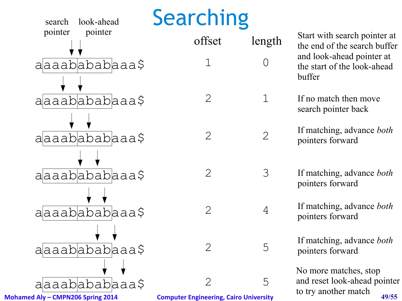

Start with search pointer at the end of the search buffer and look-ahead pointer at the start of the look-ahead buffer

If no match then move search pointer back

If matching, advance *both* pointers forward

If matching, advance *both* pointers forward

> If matching, advance *both* pointers forward

If matching, advance *both* pointers forward

No more matches, stop and reset look-ahead pointer to try another match

**Mohamed Aly – CMPN206 Spring 2014 Computer Engineering, Cairo University 49/55**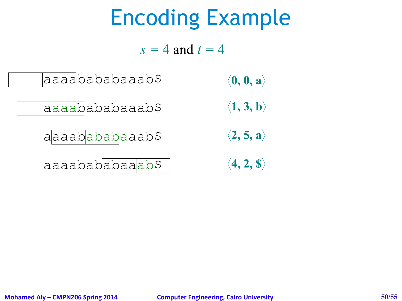# Encoding Example

 $s = 4$  and  $t = 4$ 



- aaaabababaaab\$  $\langle 1, 3, b \rangle$ 
	- aaaabababaaab\$  $\langle 2, 5, a \rangle$
	- aaaabababaaab\$ **4, 2, \$**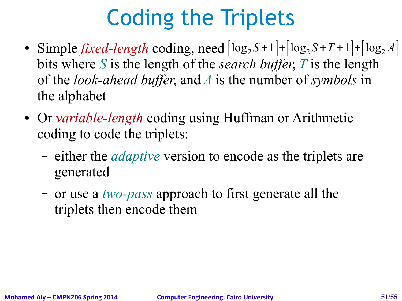# Coding the Triplets

- Simple *fixed-length* coding, need  $\left| \log_2 S + 1 \right| + \left| \log_2 S + T + 1 \right| + \left| \log_2 A \right|$ bits where *S* is the length of the *search buffer*, *T* is the length of the *look-ahead buffer*, and *A* is the number of *symbols* in the alphabet
- Or *variable-length* coding using Huffman or Arithmetic coding to code the triplets:
	- either the *adaptive* version to encode as the triplets are generated
	- or use a *two-pass* approach to first generate all the triplets then encode them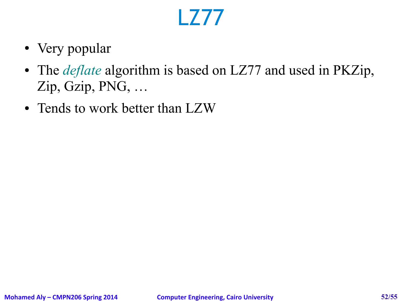## LZ77

- Very popular
- The *deflate* algorithm is based on LZ77 and used in PKZip, Zip, Gzip, PNG, …
- Tends to work better than LZW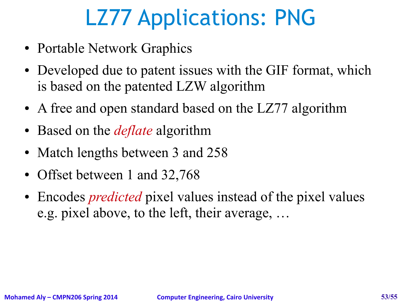# LZ77 Applications: PNG

- Portable Network Graphics
- Developed due to patent issues with the GIF format, which is based on the patented LZW algorithm
- A free and open standard based on the LZ77 algorithm
- Based on the *deflate* algorithm
- Match lengths between 3 and 258
- Offset between 1 and 32,768
- Encodes *predicted* pixel values instead of the pixel values e.g. pixel above, to the left, their average, …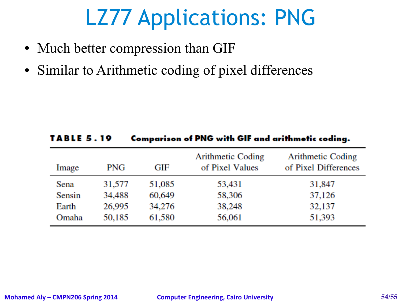# LZ77 Applications: PNG

- Much better compression than GIF
- Similar to Arithmetic coding of pixel differences

| <b>TABLE 5.19</b> |            | Comparison of PNG with GIF and arithmetic coding. |                                             |                                           |
|-------------------|------------|---------------------------------------------------|---------------------------------------------|-------------------------------------------|
| Image             | <b>PNG</b> | GIF                                               | <b>Arithmetic Coding</b><br>of Pixel Values | Arithmetic Coding<br>of Pixel Differences |
| Sena              | 31,577     | 51,085                                            | 53,431                                      | 31,847                                    |
| Sensin            | 34,488     | 60,649                                            | 58,306                                      | 37,126                                    |
| Earth             | 26,995     | 34,276                                            | 38,248                                      | 32,137                                    |
| Omaha             | 50,185     | 61,580                                            | 56,061                                      | 51,393                                    |